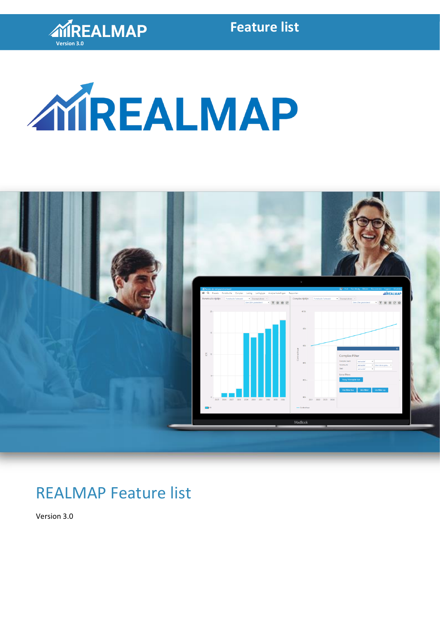

## **Feature list**





# REALMAP Feature list

Version 3.0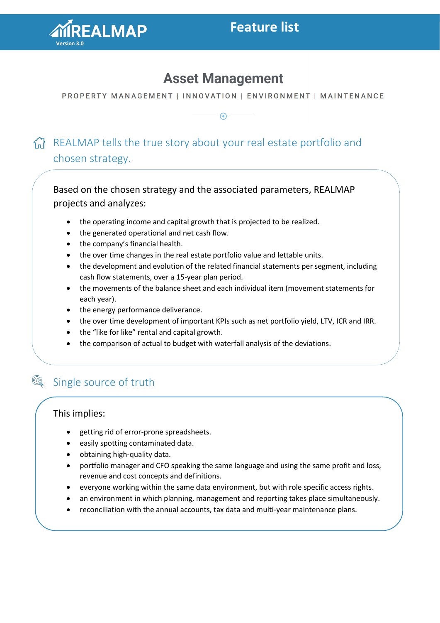

## **Asset Management**

PROPERTY MANAGEMENT | INNOVATION | ENVIRONMENT | MAINTENANCE

— ⊙ —

### $n = \frac{1}{2}$  REALMAP tells the true story about your real estate portfolio and chosen strategy.

Based on the chosen strategy and the associated parameters, REALMAP projects and analyzes:

- the operating income and capital growth that is projected to be realized.
- the generated operational and net cash flow.
- the company's financial health.
- the over time changes in the real estate portfolio value and lettable units.
- the development and evolution of the related financial statements per segment, including cash flow statements, over a 15-year plan period.
- the movements of the balance sheet and each individual item (movement statements for each year).
- the energy performance deliverance.
- the over time development of important KPIs such as net portfolio yield, LTV, ICR and IRR.
- the "like for like" rental and capital growth.
- the comparison of actual to budget with waterfall analysis of the deviations.

#### Q Single source of truth

### This implies:

- getting rid of error-prone spreadsheets.
- easily spotting contaminated data.
- obtaining high-quality data.
- portfolio manager and CFO speaking the same language and using the same profit and loss, revenue and cost concepts and definitions.
- everyone working within the same data environment, but with role specific access rights.
- an environment in which planning, management and reporting takes place simultaneously.
- reconciliation with the annual accounts, tax data and multi-year maintenance plans.